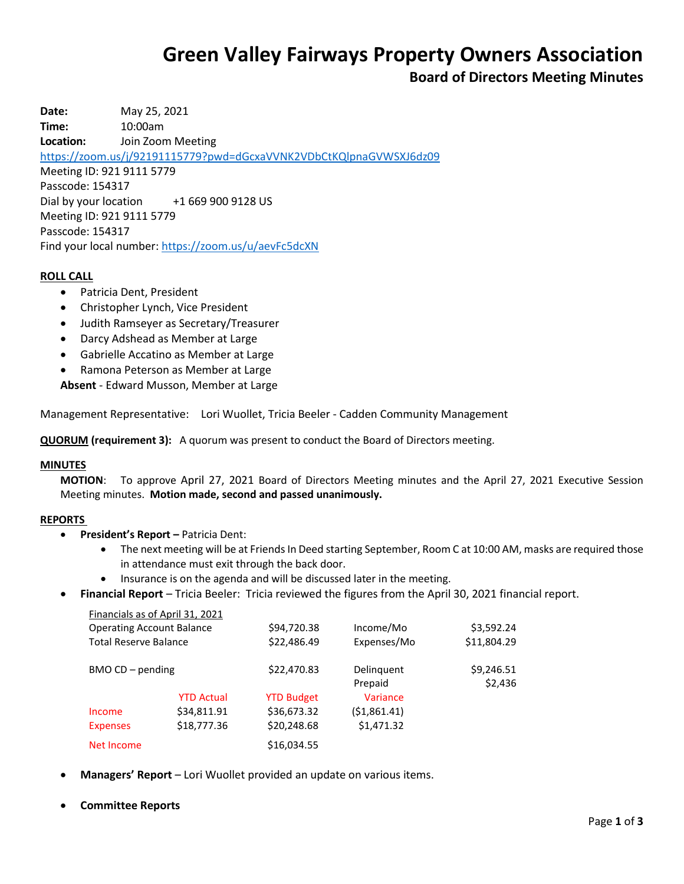# **Green Valley Fairways Property Owners Association**

# **Board of Directors Meeting Minutes**

**Date:** May 25, 2021 **Time:** 10:00am **Location:** Join Zoom Meeting <https://zoom.us/j/92191115779?pwd=dGcxaVVNK2VDbCtKQlpnaGVWSXJ6dz09> Meeting ID: 921 9111 5779 Passcode: 154317 Dial by your location +1 669 900 9128 US Meeting ID: 921 9111 5779 Passcode: 154317 Find your local number[: https://zoom.us/u/aevFc5dcXN](https://zoom.us/u/aevFc5dcXN)

### **ROLL CALL**

- Patricia Dent, President
- Christopher Lynch, Vice President
- Judith Ramseyer as Secretary/Treasurer
- Darcy Adshead as Member at Large
- Gabrielle Accatino as Member at Large
- Ramona Peterson as Member at Large

**Absent** - Edward Musson, Member at Large

Management Representative: Lori Wuollet, Tricia Beeler - Cadden Community Management

**QUORUM (requirement 3):** A quorum was present to conduct the Board of Directors meeting.

#### **MINUTES**

**MOTION**: To approve April 27, 2021 Board of Directors Meeting minutes and the April 27, 2021 Executive Session Meeting minutes. **Motion made, second and passed unanimously.**

#### **REPORTS**

- **President's Report –** Patricia Dent:
	- The next meeting will be at Friends In Deed starting September, Room C at 10:00 AM, masks are required those in attendance must exit through the back door.
	- Insurance is on the agenda and will be discussed later in the meeting.
- **Financial Report** Tricia Beeler: Tricia reviewed the figures from the April 30, 2021 financial report.

|                                  | Financials as of April 31, 2021 |                   |                       |                       |
|----------------------------------|---------------------------------|-------------------|-----------------------|-----------------------|
| <b>Operating Account Balance</b> |                                 | \$94,720.38       | Income/Mo             | \$3,592.24            |
| <b>Total Reserve Balance</b>     |                                 | \$22,486.49       | Expenses/Mo           | \$11,804.29           |
| BMO CD - pending                 |                                 | \$22,470.83       | Delinguent<br>Prepaid | \$9,246.51<br>\$2,436 |
|                                  | <b>YTD Actual</b>               | <b>YTD Budget</b> | Variance              |                       |
| Income                           | \$34,811.91                     | \$36,673.32       | (51,861.41)           |                       |
| <b>Expenses</b>                  | \$18,777.36                     | \$20,248.68       | \$1,471.32            |                       |
| Net Income                       |                                 | \$16,034.55       |                       |                       |

- **Managers' Report** Lori Wuollet provided an update on various items.
- **Committee Reports**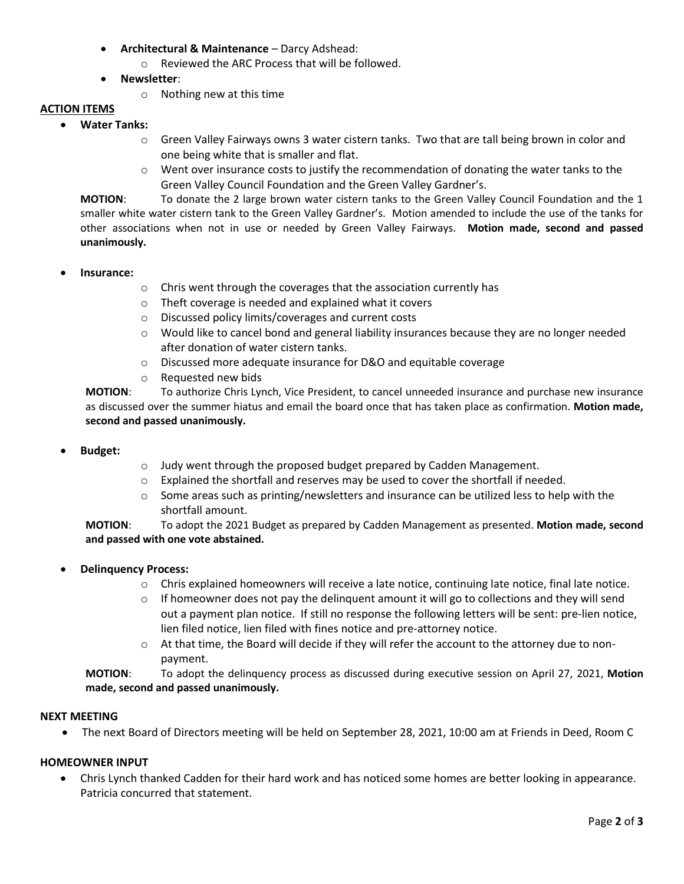- **Architectural & Maintenance** Darcy Adshead:
	- o Reviewed the ARC Process that will be followed.
- **Newsletter**:
	- o Nothing new at this time

# **ACTION ITEMS**

- **Water Tanks:**
	- o Green Valley Fairways owns 3 water cistern tanks. Two that are tall being brown in color and one being white that is smaller and flat.
	- $\circ$  Went over insurance costs to justify the recommendation of donating the water tanks to the Green Valley Council Foundation and the Green Valley Gardner's.

**MOTION**: To donate the 2 large brown water cistern tanks to the Green Valley Council Foundation and the 1 smaller white water cistern tank to the Green Valley Gardner's. Motion amended to include the use of the tanks for other associations when not in use or needed by Green Valley Fairways. **Motion made, second and passed unanimously.**

- **Insurance:**
	- o Chris went through the coverages that the association currently has
	- o Theft coverage is needed and explained what it covers
	- o Discussed policy limits/coverages and current costs
	- $\circ$  Would like to cancel bond and general liability insurances because they are no longer needed after donation of water cistern tanks.
	- o Discussed more adequate insurance for D&O and equitable coverage
	- o Requested new bids

**MOTION**: To authorize Chris Lynch, Vice President, to cancel unneeded insurance and purchase new insurance as discussed over the summer hiatus and email the board once that has taken place as confirmation. **Motion made, second and passed unanimously.**

- **Budget:**
- o Judy went through the proposed budget prepared by Cadden Management.
- $\circ$  Explained the shortfall and reserves may be used to cover the shortfall if needed.
- $\circ$  Some areas such as printing/newsletters and insurance can be utilized less to help with the shortfall amount.

**MOTION**: To adopt the 2021 Budget as prepared by Cadden Management as presented. **Motion made, second and passed with one vote abstained.**

- **Delinquency Process:**
	- $\circ$  Chris explained homeowners will receive a late notice, continuing late notice, final late notice.
	- $\circ$  If homeowner does not pay the delinquent amount it will go to collections and they will send out a payment plan notice. If still no response the following letters will be sent: pre-lien notice, lien filed notice, lien filed with fines notice and pre-attorney notice.
	- o At that time, the Board will decide if they will refer the account to the attorney due to nonpayment.

**MOTION**: To adopt the delinquency process as discussed during executive session on April 27, 2021, **Motion made, second and passed unanimously.**

#### **NEXT MEETING**

The next Board of Directors meeting will be held on September 28, 2021, 10:00 am at Friends in Deed, Room C

# **HOMEOWNER INPUT**

 Chris Lynch thanked Cadden for their hard work and has noticed some homes are better looking in appearance. Patricia concurred that statement.